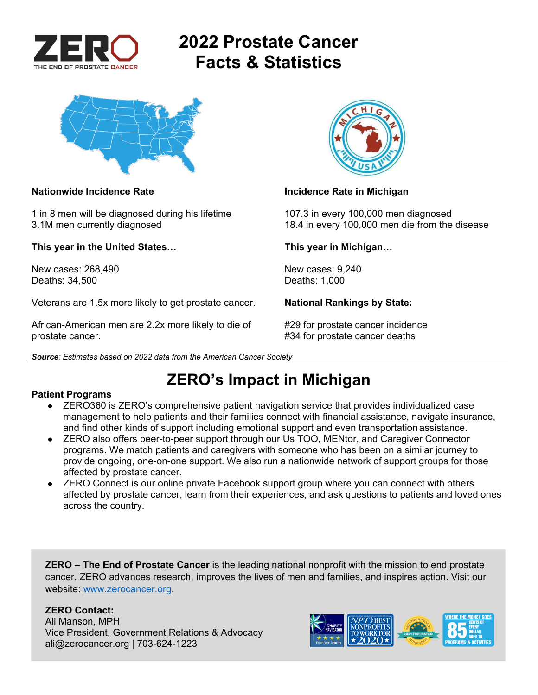

# **2022 Prostate Cancer Facts & Statistics**



1 in 8 men will be diagnosed during his lifetime 107.3 in every 100,000 men diagnosed

**This year in the United States… This year in Michigan…** 

New cases: 268.490 **New cases: 9,240** New cases: 9,240 Deaths: 34,500 Deaths: 1,000

Veterans are 1.5x more likely to get prostate cancer. **National Rankings by State:** 

African-American men are 2.2x more likely to die of #29 for prostate cancer incidence prostate cancer. **All any struck is a set of the set of the set of the set of the set of the set of the set of the set of the set of the set of the set of the set of the set of the set of the set of the set of the set of t** 





### **Nationwide Incidence Rate Incidence Rate in Michigan** *Incidence Rate in Michigan*

3.1M men currently diagnosed 18.4 in every 100,000 men die from the disease

## **ZERO's Impact in Michigan**

### **Patient Programs**

- ZERO360 is ZERO's comprehensive patient navigation service that provides individualized case management to help patients and their families connect with financial assistance, navigate insurance, and find other kinds of support including emotional support and even transportation assistance.
- ZERO also offers peer-to-peer support through our Us TOO, MENtor, and Caregiver Connector programs. We match patients and caregivers with someone who has been on a similar journey to provide ongoing, one-on-one support. We also run a nationwide network of support groups for those affected by prostate cancer.
- ZERO Connect is our online private Facebook support group where you can connect with others affected by prostate cancer, learn from their experiences, and ask questions to patients and loved ones across the country.

**ZERO – The End of Prostate Cancer** is the leading national nonprofit with the mission to end prostate cancer. ZERO advances research, improves the lives of men and families, and inspires action. Visit our website: www.zerocancer.org.

## **ZERO Contact:**

Ali Manson, MPH Vice President, Government Relations & Advocacy ali@zerocancer.org | 703-624-1223